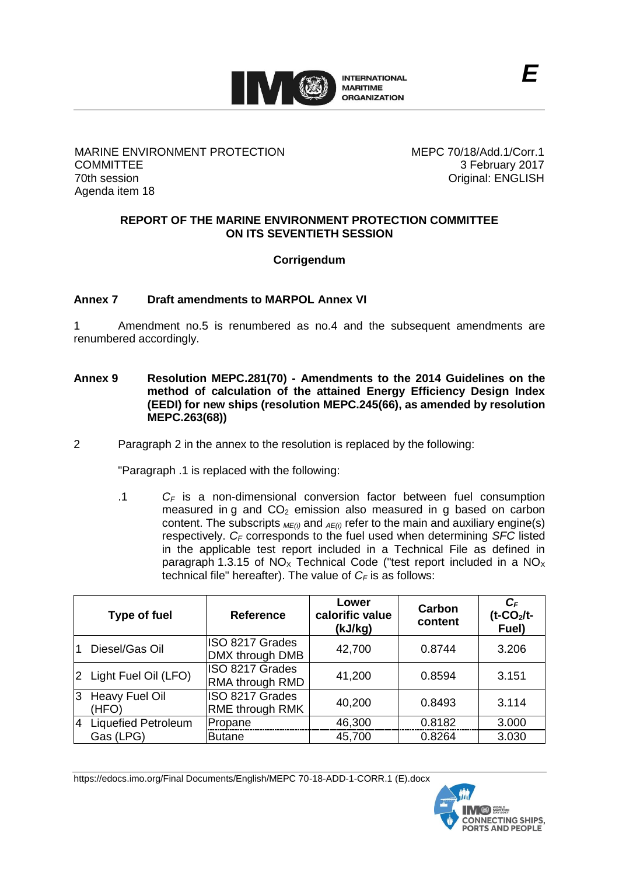

## MARINE ENVIRONMENT PROTECTION **COMMITTEE** 70th session Agenda item 18

MEPC 70/18/Add.1/Corr.1 3 February 2017 Original: ENGLISH

## **REPORT OF THE MARINE ENVIRONMENT PROTECTION COMMITTEE ON ITS SEVENTIETH SESSION**

**Corrigendum**

# **Annex 7 Draft amendments to MARPOL Annex VI**

1 Amendment no.5 is renumbered as no.4 and the subsequent amendments are renumbered accordingly.

- **Annex 9 Resolution MEPC.281(70) - Amendments to the 2014 Guidelines on the method of calculation of the attained Energy Efficiency Design Index (EEDI) for new ships (resolution MEPC.245(66), as amended by resolution MEPC.263(68))**
- 2 Paragraph 2 in the annex to the resolution is replaced by the following:

"Paragraph .1 is replaced with the following:

.1 *C<sup>F</sup>* is a non-dimensional conversion factor between fuel consumption measured in g and  $CO<sub>2</sub>$  emission also measured in g based on carbon content. The subscripts *ME(i)* and *AE(i)* refer to the main and auxiliary engine(s) respectively. *C<sup>F</sup>* corresponds to the fuel used when determining *SFC* listed in the applicable test report included in a Technical File as defined in paragraph 1.3.15 of  $NO<sub>x</sub>$  Technical Code ("test report included in a  $NO<sub>x</sub>$ technical file" hereafter). The value of  $C_F$  is as follows:

|              | <b>Type of fuel</b>            | <b>Reference</b>                          | Lower<br>calorific value<br>(kJ/kg) | Carbon<br>content | $C_F$<br>$(t$ -CO <sub>2</sub> /t-<br>Fuel) |
|--------------|--------------------------------|-------------------------------------------|-------------------------------------|-------------------|---------------------------------------------|
|              | Diesel/Gas Oil                 | ISO 8217 Grades<br>DMX through DMB        | 42,700                              | 0.8744            | 3.206                                       |
|              | 2 Light Fuel Oil (LFO)         | ISO 8217 Grades<br><b>RMA through RMD</b> | 41,200                              | 0.8594            | 3.151                                       |
| $\mathbf{3}$ | <b>Heavy Fuel Oil</b><br>(HFO) | ISO 8217 Grades<br><b>RME through RMK</b> | 40,200                              | 0.8493            | 3.114                                       |
| 4            | Liquefied Petroleum            | Propane                                   | 46,300                              | 0.8182            | 3.000                                       |
|              | Gas (LPG)                      | <b>Butane</b>                             | 45,700                              | 0.8264            | 3.030                                       |

https://edocs.imo.org/Final Documents/English/MEPC 70-18-ADD-1-CORR.1 (E).docx

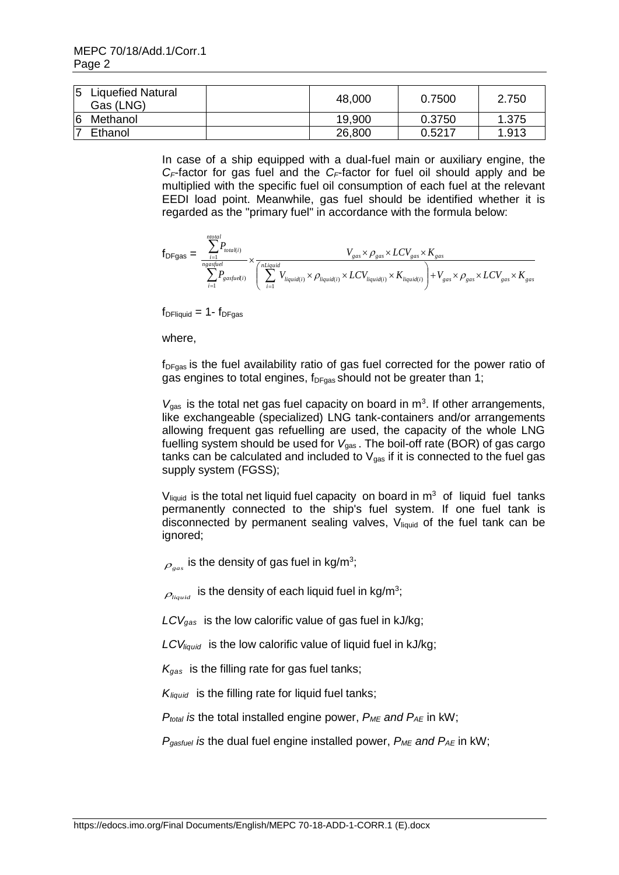|    | <b>Liquefied Natural</b><br>Gas (LNG) | 48,000 | 0.7500 | 2.750 |
|----|---------------------------------------|--------|--------|-------|
| 16 | Methanol                              | 19,900 | 0.3750 | 1.375 |
|    | Ethanol                               | 26,800 | 0.5217 | 1.913 |

In case of a ship equipped with a dual-fuel main or auxiliary engine, the *CF*-factor for gas fuel and the *CF*-factor for fuel oil should apply and be multiplied with the specific fuel oil consumption of each fuel at the relevant EEDI load point. Meanwhile, gas fuel should be identified whether it is regarded as the "primary fuel" in accordance with the formula below:

$$
f_{DFgas} = \frac{\sum_{i=1}^{ntotal} P_{total(i)}}{\sum_{i=1}^{n gas fuel}} \times \frac{V_{gas} \times \rho_{gas} \times LCV_{gas} \times K_{gas}}{\left(\sum_{i=1}^{n Liquid} V_{liquid(i)} \times \rho_{liquid(i)} \times LCV_{liquid(i)} \times K_{liquid(i)}}\right) + V_{gas} \times \rho_{gas} \times LCV_{gas} \times K_{gas}}
$$

 $f_{DF liquid} = 1 - f_{DFgas}$ 

where,

 $f_{DFgas}$  is the fuel availability ratio of gas fuel corrected for the power ratio of gas engines to total engines,  $f_{DFgas}$  should not be greater than 1;

 $V_{\text{gas}}$  is the total net gas fuel capacity on board in  $\text{m}^3$ . If other arrangements, like exchangeable (specialized) LNG tank-containers and/or arrangements allowing frequent gas refuelling are used, the capacity of the whole LNG fuelling system should be used for *V*gas . The boil-off rate (BOR) of gas cargo tanks can be calculated and included to  $V_{gas}$  if it is connected to the fuel gas supply system (FGSS);

 $V<sub>liquid</sub>$  is the total net liquid fuel capacity on board in  $m<sup>3</sup>$  of liquid fuel tanks permanently connected to the ship's fuel system. If one fuel tank is disconnected by permanent sealing valves, V<sub>liquid</sub> of the fuel tank can be ignored;

 $\mathcal{P}_{gas}$  is the density of gas fuel in kg/m<sup>3</sup>;

 $\rho_{_{liquid}}$  is the density of each liquid fuel in kg/m<sup>3</sup>;

*LCVgas* is the low calorific value of gas fuel in kJ/kg;

*LCVliquid* is the low calorific value of liquid fuel in kJ/kg;

*Kgas* is the filling rate for gas fuel tanks;

*Kliquid* is the filling rate for liquid fuel tanks;

 $P_{total}$  *is the total installed engine power,*  $P_{ME}$  *and*  $P_{AE}$  *in kW;* 

*Pgasfuel is* the dual fuel engine installed power, *PME and PAE* in kW;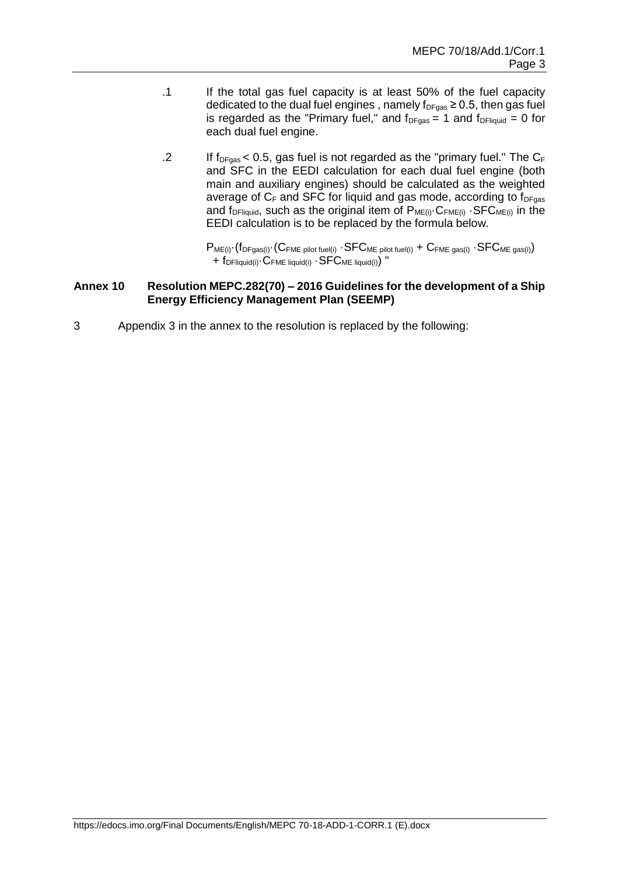- .1 If the total gas fuel capacity is at least 50% of the fuel capacity dedicated to the dual fuel engines, namely  $f_{DFgas} \ge 0.5$ , then gas fuel is regarded as the "Primary fuel," and  $f_{DFgas} = 1$  and  $f_{DF liquid} = 0$  for each dual fuel engine.
- .2 If  $f_{DFgas}$  < 0.5, gas fuel is not regarded as the "primary fuel." The  $C_F$ and SFC in the EEDI calculation for each dual fuel engine (both main and auxiliary engines) should be calculated as the weighted average of  $C_F$  and SFC for liquid and gas mode, according to  $f_{DFgas}$ and f<sub>DFliquid</sub>, such as the original item of  $P_{ME(i)} \cdot C_{FME(i)} \cdot SFC_{ME(i)}$  in the EEDI calculation is to be replaced by the formula below.

 $P_{ME(i)} \cdot (f_{DFgas(i)} \cdot (C_{FME\ pilot\ fuel(i)} \cdot SFC_{ME\ pilot\ fuel(i)} + C_{FME\ gas(i)} \cdot SFC_{ME\ gas(i)})$ + f<sub>DFliquid(i)</sub> C<sub>FME liquid(i)</sub> · SFC<sub>ME liquid(i)</sub> "

#### **Annex 10 Resolution MEPC.282(70) – 2016 Guidelines for the development of a Ship Energy Efficiency Management Plan (SEEMP)**

3 Appendix 3 in the annex to the resolution is replaced by the following: